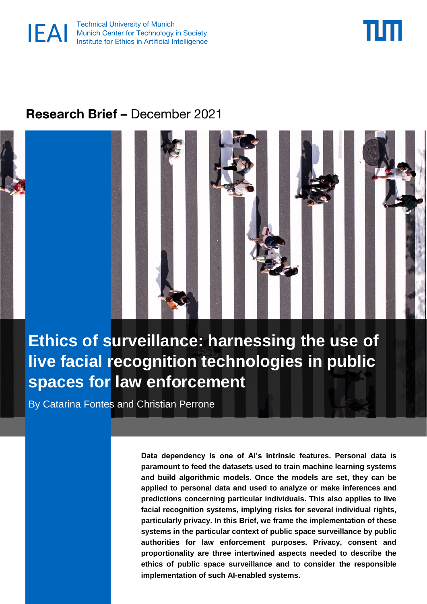



# **Research Brief –** December 2021



**Ethics of surveillance: harnessing the use of live facial recognition technologies in public spaces for law enforcement**

By Catarina Fontes and Christian Perrone

**Data dependency is one of AI's intrinsic features. Personal data is paramount to feed the datasets used to train machine learning systems and build algorithmic models. Once the models are set, they can be applied to personal data and used to analyze or make inferences and predictions concerning particular individuals. This also applies to live facial recognition systems, implying risks for several individual rights, particularly privacy. In this Brief, we frame the implementation of these systems in the particular context of public space surveillance by public authorities for law enforcement purposes. Privacy, consent and proportionality are three intertwined aspects needed to describe the ethics of public space surveillance and to consider the responsible implementation of such AI-enabled systems.**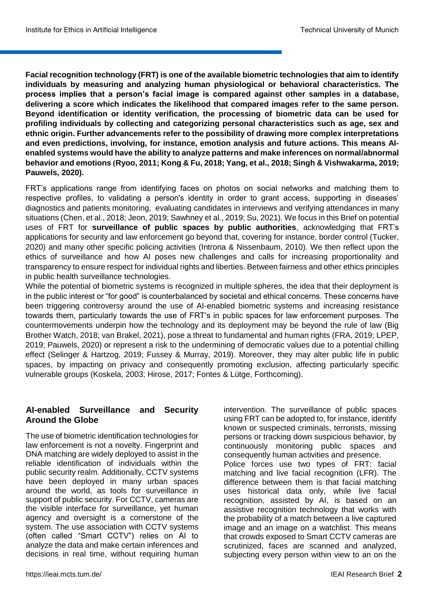**Facial recognition technology (FRT) is one of the available biometric technologies that aim to identify individuals by measuring and analyzing human physiological or behavioral characteristics. The process implies that a person's facial image is compared against other samples in a database, delivering a score which indicates the likelihood that compared images refer to the same person. Beyond identification or identity verification, the processing of biometric data can be used for profiling individuals by collecting and categorizing personal characteristics such as age, sex and ethnic origin. Further advancements refer to the possibility of drawing more complex interpretations and even predictions, involving, for instance, emotion analysis and future actions. This means AIenabled systems would have the ability to analyze patterns and make inferences on normal/abnormal behavior and emotions (Ryoo, 2011; Kong & Fu, 2018; Yang, et al., 2018; Singh & Vishwakarma, 2019; Pauwels, 2020).**

FRT's applications range from identifying faces on photos on social networks and matching them to respective profiles, to validating a person's identity in order to grant access, supporting in diseases' diagnostics and patients monitoring, evaluating candidates in interviews and verifying attendances in many situations (Chen, et al., 2018; Jeon, 2019; Sawhney et al., 2019; Su, 2021). We focus in this Brief on potential uses of FRT for **surveillance of public spaces by public authorities**, acknowledging that FRT's applications for security and law enforcement go beyond that, covering for instance, border control (Tucker, 2020) and many other specific policing activities (Introna & Nissenbaum, 2010). We then reflect upon the ethics of surveillance and how AI poses new challenges and calls for increasing proportionality and transparency to ensure respect for individual rights and liberties. Between fairness and other ethics principles in public health surveillance technologies.

While the potential of biometric systems is recognized in multiple spheres, the idea that their deployment is in the public interest or "for good" is counterbalanced by societal and ethical concerns. These concerns have been triggering controversy around the use of AI-enabled biometric systems and increasing resistance towards them, particularly towards the use of FRT's in public spaces for law enforcement purposes. The countermovements underpin how the technology and its deployment may be beyond the rule of law (Big Brother Watch, 2018; van Brakel, 2021), pose a threat to fundamental and human rights (FRA, 2019; LPEP, 2019; Pauwels, 2020) or represent a risk to the undermining of democratic values due to a potential chilling effect (Selinger & Hartzog, 2019; Fussey & Murray, 2019). Moreover, they may alter public life in public spaces, by impacting on privacy and consequently promoting exclusion, affecting particularly specific vulnerable groups (Koskela, 2003; Hirose, 2017; Fontes & Lütge, Forthcoming).

#### **AI-enabled Surveillance and Security Around the Globe<sup>i</sup>**

The use of biometric identification technologies for law enforcement is not a novelty. Fingerprint and DNA matching are widely deployed to assist in the reliable identification of individuals within the public security realm. Additionally, CCTV systems have been deployed in many urban spaces around the world, as tools for surveillance in support of public security. For CCTV, cameras are the visible interface for surveillance, yet human agency and oversight is a cornerstone of the system. The use association with CCTV systems (often called "Smart CCTV") relies on AI to analyze the data and make certain inferences and decisions in real time, without requiring human intervention. The surveillance of public spaces using FRT can be adopted to, for instance, identify known or suspected criminals, terrorists, missing persons or tracking down suspicious behavior, by continuously monitoring public spaces and consequently human activities and presence. Police forces use two types of FRT: facial matching and live facial recognition (LFR). The difference between them is that facial matching uses historical data only, while live facial recognition, assisted by AI, is based on an assistive recognition technology that works with the probability of a match between a live captured image and an image on a watchlist. This means that crowds exposed to Smart CCTV cameras are scrutinized, faces are scanned and analyzed, subjecting every person within view to an on the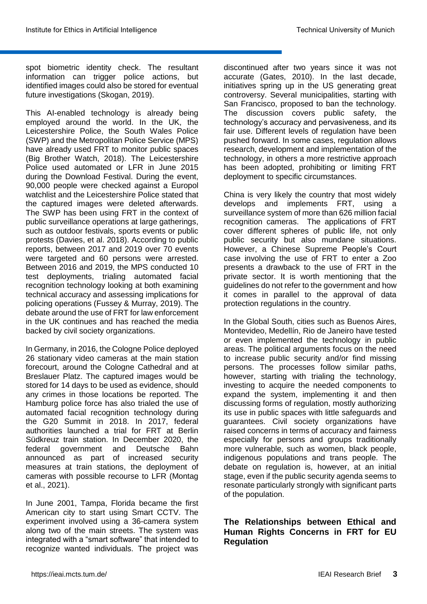spot biometric identity check. The resultant information can trigger police actions, but identified images could also be stored for eventual future investigations (Skogan, 2019).

This AI-enabled technology is already being employed around the world. In the UK, the Leicestershire Police, the South Wales Police (SWP) and the Metropolitan Police Service (MPS) have already used FRT to monitor public spaces (Big Brother Watch, 2018). The Leicestershire Police used automated or LFR in June 2015 during the Download Festival. During the event, 90,000 people were checked against a Europol watchlist and the Leicestershire Police stated that the captured images were deleted afterwards. The SWP has been using FRT in the context of public surveillance operations at large gatherings, such as outdoor festivals, sports events or public protests (Davies, et al. 2018). According to public reports, between 2017 and 2019 over 70 events were targeted and 60 persons were arrested. Between 2016 and 2019, the MPS conducted 10 test deployments, trialing automated facial recognition technology looking at both examining technical accuracy and assessing implications for policing operations (Fussey & Murray, 2019). The debate around the use of FRT for law enforcement in the UK continues and has reached the media backed by civil society organizations.

In Germany, in 2016, the Cologne Police deployed 26 stationary video cameras at the main station forecourt, around the Cologne Cathedral and at Breslauer Platz. The captured images would be stored for 14 days to be used as evidence, should any crimes in those locations be reported. The Hamburg police force has also trialed the use of automated facial recognition technology during the G20 Summit in 2018. In 2017, federal authorities launched a trial for FRT at Berlin Südkreuz train station. In December 2020, the federal government and Deutsche Bahn announced as part of increased security measures at train stations, the deployment of cameras with possible recourse to LFR (Montag et al., 2021).

In June 2001, Tampa, Florida became the first American city to start using Smart CCTV. The experiment involved using a 36-camera system along two of the main streets. The system was integrated with a "smart software" that intended to recognize wanted individuals. The project was

discontinued after two years since it was not accurate (Gates, 2010). In the last decade, initiatives spring up in the US generating great controversy. Several municipalities, starting with San Francisco, proposed to ban the technology. The discussion covers public safety, the technology's accuracy and pervasiveness, and its fair use. Different levels of regulation have been pushed forward. In some cases, regulation allows research, development and implementation of the technology, in others a more restrictive approach has been adopted, prohibiting or limiting FRT deployment to specific circumstances.

China is very likely the country that most widely develops and implements FRT, using a surveillance system of more than 626 million facial recognition cameras. The applications of FRT cover different spheres of public life, not only public security but also mundane situations. However, a Chinese Supreme People's Court case involving the use of FRT to enter a Zoo presents a drawback to the use of FRT in the private sector. It is worth mentioning that the guidelines do not refer to the government and how it comes in parallel to the approval of data protection regulations in the country.

In the Global South, cities such as Buenos Aires, Montevideo, Medellín, Rio de Janeiro have tested or even implemented the technology in public areas. The political arguments focus on the need to increase public security and/or find missing persons. The processes follow similar paths, however, starting with trialing the technology, investing to acquire the needed components to expand the system, implementing it and then discussing forms of regulation, mostly authorizing its use in public spaces with little safeguards and guarantees. Civil society organizations have raised concerns in terms of accuracy and fairness especially for persons and groups traditionally more vulnerable, such as women, black people, indigenous populations and trans people. The debate on regulation is, however, at an initial stage, even if the public security agenda seems to resonate particularly strongly with significant parts of the population.

#### **The Relationships between Ethical and Human Rights Concerns in FRT for EU Regulation**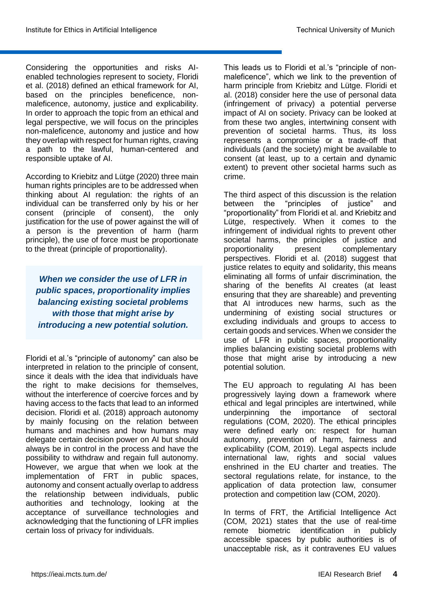Considering the opportunities and risks AIenabled technologies represent to society, Floridi et al. (2018) defined an ethical framework for AI, based on the principles beneficence, nonmaleficence, autonomy, justice and explicability. In order to approach the topic from an ethical and legal perspective, we will focus on the principles non-maleficence, autonomy and justice and how they overlap with respect for human rights, craving a path to the lawful, human-centered and responsible uptake of AI.

According to Kriebitz and Lütge (2020) three main human rights principles are to be addressed when thinking about AI regulation: the rights of an individual can be transferred only by his or her consent (principle of consent), the only justification for the use of power against the will of a person is the prevention of harm (harm principle), the use of force must be proportionate to the threat (principle of proportionality).

*When we consider the use of LFR in public spaces, proportionality implies balancing existing societal problems with those that might arise by introducing a new potential solution.*

Floridi et al.'s "principle of autonomy" can also be interpreted in relation to the principle of consent, since it deals with the idea that individuals have the right to make decisions for themselves, without the interference of coercive forces and by having access to the facts that lead to an informed decision. Floridi et al. (2018) approach autonomy by mainly focusing on the relation between humans and machines and how humans may delegate certain decision power on AI but should always be in control in the process and have the possibility to withdraw and regain full autonomy. However, we argue that when we look at the implementation of FRT in public spaces, autonomy and consent actually overlap to address the relationship between individuals, public authorities and technology, looking at the acceptance of surveillance technologies and acknowledging that the functioning of LFR implies certain loss of privacy for individuals.

This leads us to Floridi et al.'s "principle of nonmaleficence", which we link to the prevention of harm principle from Kriebitz and Lütge. Floridi et al. (2018) consider here the use of personal data (infringement of privacy) a potential perverse impact of AI on society. Privacy can be looked at from these two angles, intertwining consent with prevention of societal harms. Thus, its loss represents a compromise or a trade-off that individuals (and the society) might be available to consent (at least, up to a certain and dynamic extent) to prevent other societal harms such as crime.

The third aspect of this discussion is the relation between the "principles of justice" and "proportionality" from Floridi et al. and Kriebitz and Lütge, respectively. When it comes to the infringement of individual rights to prevent other societal harms, the principles of justice and proportionality present complementary perspectives. Floridi et al. (2018) suggest that justice relates to equity and solidarity, this means eliminating all forms of unfair discrimination, the sharing of the benefits AI creates (at least ensuring that they are shareable) and preventing that AI introduces new harms, such as the undermining of existing social structures or excluding individuals and groups to access to certain goods and services. When we consider the use of LFR in public spaces, proportionality implies balancing existing societal problems with those that might arise by introducing a new potential solution.

The EU approach to regulating AI has been progressively laying down a framework where ethical and legal principles are intertwined, while underpinning the importance of sectoral regulations (COM, 2020). The ethical principles were defined early on: respect for human autonomy, prevention of harm, fairness and explicability (COM, 2019). Legal aspects include international law, rights and social values enshrined in the EU charter and treaties. The sectoral regulations relate, for instance, to the application of data protection law, consumer protection and competition law (COM, 2020).

In terms of FRT, the Artificial Intelligence Act (COM, 2021) states that the use of real-time remote biometric identification in publicly accessible spaces by public authorities is of unacceptable risk, as it contravenes EU values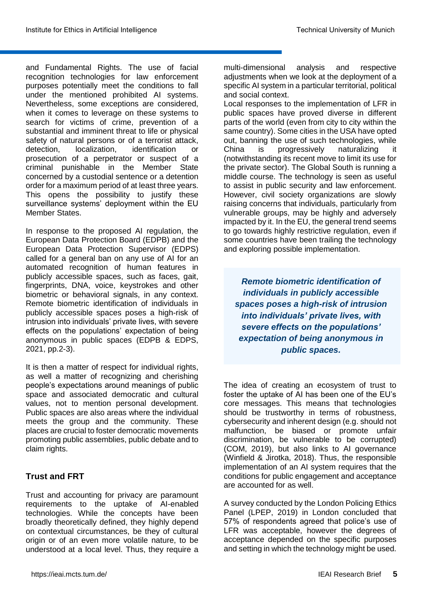and Fundamental Rights. The use of facial recognition technologies for law enforcement purposes potentially meet the conditions to fall under the mentioned prohibited AI systems. Nevertheless, some exceptions are considered, when it comes to leverage on these systems to search for victims of crime, prevention of a substantial and imminent threat to life or physical safety of natural persons or of a terrorist attack, detection, localization, identification or prosecution of a perpetrator or suspect of a criminal punishable in the Member State concerned by a custodial sentence or a detention order for a maximum period of at least three years. This opens the possibility to justify these surveillance systems' deployment within the EU Member States.

In response to the proposed AI regulation, the European Data Protection Board (EDPB) and the European Data Protection Supervisor (EDPS) called for a general ban on any use of AI for an automated recognition of human features in publicly accessible spaces, such as faces, gait, fingerprints, DNA, voice, keystrokes and other biometric or behavioral signals, in any context. Remote biometric identification of individuals in publicly accessible spaces poses a high-risk of intrusion into individuals' private lives, with severe effects on the populations' expectation of being anonymous in public spaces (EDPB & EDPS, 2021, pp.2-3).

It is then a matter of respect for individual rights, as well a matter of recognizing and cherishing people's expectations around meanings of public space and associated democratic and cultural values, not to mention personal development. Public spaces are also areas where the individual meets the group and the community. These places are crucial to foster democratic movements promoting public assemblies, public debate and to claim rights.

### **Trust and FRT**

Trust and accounting for privacy are paramount requirements to the uptake of AI-enabled technologies. While the concepts have been broadly theoretically defined, they highly depend on contextual circumstances, be they of cultural origin or of an even more volatile nature, to be understood at a local level. Thus, they require a

multi-dimensional analysis and respective adjustments when we look at the deployment of a specific AI system in a particular territorial, political and social context.

Local responses to the implementation of LFR in public spaces have proved diverse in different parts of the world (even from city to city within the same country). Some cities in the USA have opted out, banning the use of such technologies, while China is progressively naturalizing it (notwithstanding its recent move to limit its use for the private sector). The Global South is running a middle course. The technology is seen as useful to assist in public security and law enforcement. However, civil society organizations are slowly raising concerns that individuals, particularly from vulnerable groups, may be highly and adversely impacted by it. In the EU, the general trend seems to go towards highly restrictive regulation, even if some countries have been trailing the technology and exploring possible implementation.

*Remote biometric identification of individuals in publicly accessible spaces poses a high-risk of intrusion into individuals' private lives, with severe effects on the populations' expectation of being anonymous in public spaces.*

The idea of creating an ecosystem of trust to foster the uptake of AI has been one of the EU's core messages. This means that technologies should be trustworthy in terms of robustness, cybersecurity and inherent design (e.g. should not malfunction, be biased or promote unfair discrimination, be vulnerable to be corrupted) (COM, 2019), but also links to AI governance (Winfield & Jirotka, 2018). Thus, the responsible implementation of an AI system requires that the conditions for public engagement and acceptance are accounted for as well.

A survey conducted by the London Policing Ethics Panel (LPEP, 2019) in London concluded that 57% of respondents agreed that police's use of LFR was acceptable, however the degrees of acceptance depended on the specific purposes and setting in which the technology might be used.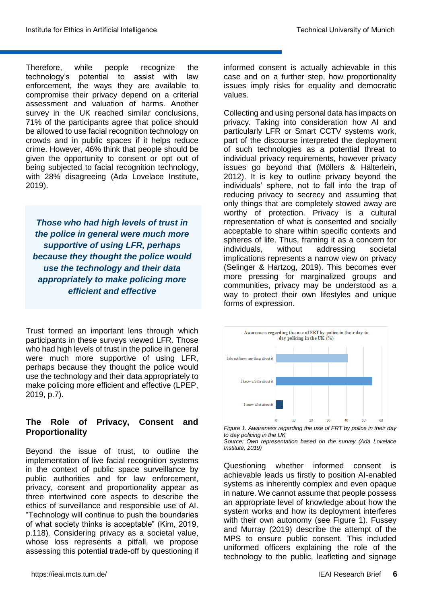Therefore, while people recognize the technology's potential to assist with law enforcement, the ways they are available to compromise their privacy depend on a criterial assessment and valuation of harms. Another survey in the UK reached similar conclusions, 71% of the participants agree that police should be allowed to use facial recognition technology on crowds and in public spaces if it helps reduce crime. However, 46% think that people should be given the opportunity to consent or opt out of being subjected to facial recognition technology, with 28% disagreeing (Ada Lovelace Institute, 2019).

*Those who had high levels of trust in the police in general were much more supportive of using LFR, perhaps because they thought the police would use the technology and their data appropriately to make policing more efficient and effective*

Trust formed an important lens through which participants in these surveys viewed LFR. Those who had high levels of trust in the police in general were much more supportive of using LFR, perhaps because they thought the police would use the technology and their data appropriately to make policing more efficient and effective (LPEP, 2019, p.7).

## **The Role of Privacy, Consent and Proportionality**

Beyond the issue of trust, to outline the implementation of live facial recognition systems in the context of public space surveillance by public authorities and for law enforcement, privacy, consent and proportionality appear as three intertwined core aspects to describe the ethics of surveillance and responsible use of AI. "Technology will continue to push the boundaries of what society thinks is acceptable" (Kim, 2019, p.118). Considering privacy as a societal value, whose loss represents a pitfall, we propose assessing this potential trade-off by questioning if

informed consent is actually achievable in this case and on a further step, how proportionality issues imply risks for equality and democratic values.

Collecting and using personal data has impacts on privacy. Taking into consideration how AI and particularly LFR or Smart CCTV systems work, part of the discourse interpreted the deployment of such technologies as a potential threat to individual privacy requirements, however privacy issues go beyond that (Möllers & Hälterlein, 2012). It is key to outline privacy beyond the individuals' sphere, not to fall into the trap of reducing privacy to secrecy and assuming that only things that are completely stowed away are worthy of protection. Privacy is a cultural representation of what is consented and socially acceptable to share within specific contexts and spheres of life. Thus, framing it as a concern for individuals, without addressing societal implications represents a narrow view on privacy (Selinger & Hartzog, 2019). This becomes ever more pressing for marginalized groups and communities, privacy may be understood as a way to protect their own lifestyles and unique forms of expression.



*Figure 1. Awareness regarding the use of FRT by police in their day to day policing in the UK*

Questioning whether informed consent is achievable leads us firstly to position AI-enabled systems as inherently complex and even opaque in nature. We cannot assume that people possess an appropriate level of knowledge about how the system works and how its deployment interferes with their own autonomy (see Figure 1). Fussey and Murray (2019) describe the attempt of the MPS to ensure public consent. This included uniformed officers explaining the role of the technology to the public, leafleting and signage

*Source: Own representation based on the survey (Ada Lovelace Institute, 2019)*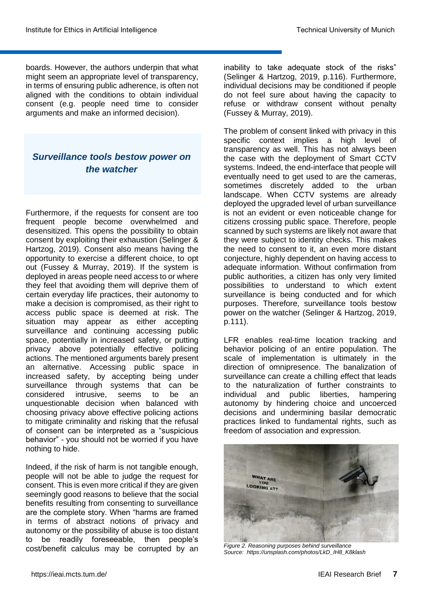boards. However, the authors underpin that what might seem an appropriate level of transparency, in terms of ensuring public adherence, is often not aligned with the conditions to obtain individual consent (e.g. people need time to consider arguments and make an informed decision).

# *Surveillance tools bestow power on the watcher*

Furthermore, if the requests for consent are too frequent people become overwhelmed and desensitized. This opens the possibility to obtain consent by exploiting their exhaustion (Selinger & Hartzog, 2019). Consent also means having the opportunity to exercise a different choice, to opt out (Fussey & Murray, 2019). If the system is deployed in areas people need access to or where they feel that avoiding them will deprive them of certain everyday life practices, their autonomy to make a decision is compromised, as their right to access public space is deemed at risk. The situation may appear as either accepting surveillance and continuing accessing public space, potentially in increased safety, or putting privacy above potentially effective policing actions. The mentioned arguments barely present an alternative. Accessing public space in increased safety, by accepting being under surveillance through systems that can be considered intrusive, seems to be an unquestionable decision when balanced with choosing privacy above effective policing actions to mitigate criminality and risking that the refusal of consent can be interpreted as a "suspicious behavior" - you should not be worried if you have nothing to hide.

Indeed, if the risk of harm is not tangible enough, people will not be able to judge the request for consent. This is even more critical if they are given seemingly good reasons to believe that the social benefits resulting from consenting to surveillance are the complete story. When "harms are framed in terms of abstract notions of privacy and autonomy or the possibility of abuse is too distant to be readily foreseeable, then people's cost/benefit calculus may be corrupted by an

inability to take adequate stock of the risks" (Selinger & Hartzog, 2019, p.116). Furthermore, individual decisions may be conditioned if people do not feel sure about having the capacity to refuse or withdraw consent without penalty (Fussey & Murray, 2019).

The problem of consent linked with privacy in this specific context implies a high level of transparency as well. This has not always been the case with the deployment of Smart CCTV systems. Indeed, the end-interface that people will eventually need to get used to are the cameras, sometimes discretely added to the urban landscape. When CCTV systems are already deployed the upgraded level of urban surveillance is not an evident or even noticeable change for citizens crossing public space. Therefore, people scanned by such systems are likely not aware that they were subject to identity checks. This makes the need to consent to it, an even more distant conjecture, highly dependent on having access to adequate information. Without confirmation from public authorities, a citizen has only very limited possibilities to understand to which extent surveillance is being conducted and for which purposes. Therefore, surveillance tools bestow power on the watcher (Selinger & Hartzog, 2019, p.111).

LFR enables real-time location tracking and behavior policing of an entire population. The scale of implementation is ultimately in the direction of omnipresence. The banalization of surveillance can create a chilling effect that leads to the naturalization of further constraints to individual and public liberties, hampering autonomy by hindering choice and uncoerced decisions and undermining basilar democratic practices linked to fundamental rights, such as freedom of association and expression.



*Figure 2. Reasoning purposes behind surveillance Source: https://unsplash.com/photos/LkD\_IH8\_K8klash*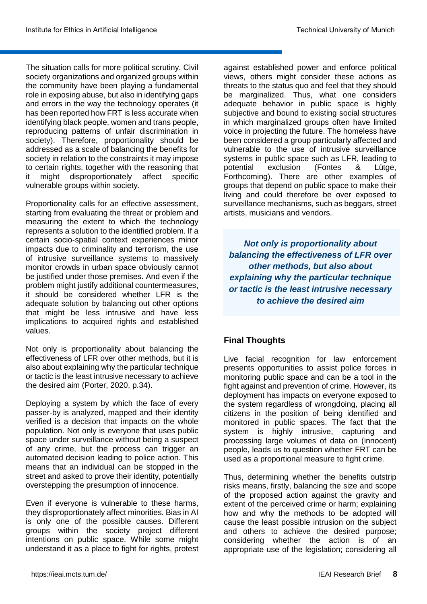The situation calls for more political scrutiny. Civil society organizations and organized groups within the community have been playing a fundamental role in exposing abuse, but also in identifying gaps and errors in the way the technology operates (it has been reported how FRT is less accurate when identifying black people, women and trans people, reproducing patterns of unfair discrimination in society). Therefore, proportionality should be addressed as a scale of balancing the benefits for society in relation to the constraints it may impose to certain rights, together with the reasoning that it might disproportionately affect specific vulnerable groups within society.

Proportionality calls for an effective assessment, starting from evaluating the threat or problem and measuring the extent to which the technology represents a solution to the identified problem. If a certain socio-spatial context experiences minor impacts due to criminality and terrorism, the use of intrusive surveillance systems to massively monitor crowds in urban space obviously cannot be justified under those premises. And even if the problem might justify additional countermeasures, it should be considered whether LFR is the adequate solution by balancing out other options that might be less intrusive and have less implications to acquired rights and established values.

Not only is proportionality about balancing the effectiveness of LFR over other methods, but it is also about explaining why the particular technique or tactic is the least intrusive necessary to achieve the desired aim (Porter, 2020, p.34).

Deploying a system by which the face of every passer-by is analyzed, mapped and their identity verified is a decision that impacts on the whole population. Not only is everyone that uses public space under surveillance without being a suspect of any crime, but the process can trigger an automated decision leading to police action. This means that an individual can be stopped in the street and asked to prove their identity, potentially overstepping the presumption of innocence.

Even if everyone is vulnerable to these harms, they disproportionately affect minorities. Bias in AI is only one of the possible causes. Different groups within the society project different intentions on public space. While some might understand it as a place to fight for rights, protest

against established power and enforce political views, others might consider these actions as threats to the status quo and feel that they should be marginalized. Thus, what one considers adequate behavior in public space is highly subjective and bound to existing social structures in which marginalized groups often have limited voice in projecting the future. The homeless have been considered a group particularly affected and vulnerable to the use of intrusive surveillance systems in public space such as LFR, leading to potential exclusion (Fontes & Lütge, Forthcoming). There are other examples of groups that depend on public space to make their living and could therefore be over exposed to surveillance mechanisms, such as beggars, street artists, musicians and vendors.

*Not only is proportionality about balancing the effectiveness of LFR over other methods, but also about explaining why the particular technique or tactic is the least intrusive necessary to achieve the desired aim*

### **Final Thoughts**

Live facial recognition for law enforcement presents opportunities to assist police forces in monitoring public space and can be a tool in the fight against and prevention of crime. However, its deployment has impacts on everyone exposed to the system regardless of wrongdoing, placing all citizens in the position of being identified and monitored in public spaces. The fact that the system is highly intrusive, capturing and processing large volumes of data on (innocent) people, leads us to question whether FRT can be used as a proportional measure to fight crime.

Thus, determining whether the benefits outstrip risks means, firstly, balancing the size and scope of the proposed action against the gravity and extent of the perceived crime or harm; explaining how and why the methods to be adopted will cause the least possible intrusion on the subject and others to achieve the desired purpose; considering whether the action is of an appropriate use of the legislation; considering all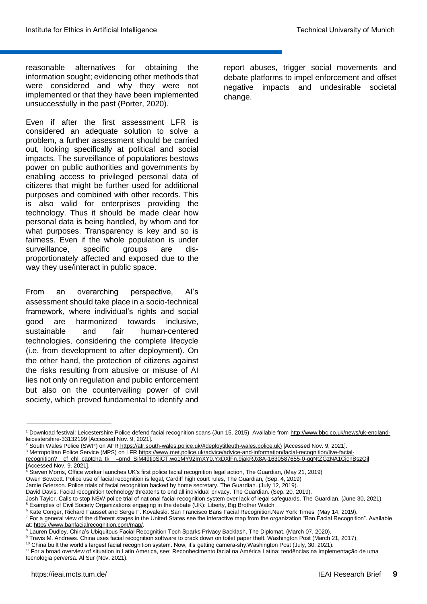reasonable alternatives for obtaining the information sought; evidencing other methods that were considered and why they were not implemented or that they have been implemented unsuccessfully in the past (Porter, 2020).

Even if after the first assessment LFR is considered an adequate solution to solve a problem, a further assessment should be carried out, looking specifically at political and social impacts. The surveillance of populations bestows power on public authorities and governments by enabling access to privileged personal data of citizens that might be further used for additional purposes and combined with other records. This is also valid for enterprises providing the technology. Thus it should be made clear how personal data is being handled, by whom and for what purposes. Transparency is key and so is fairness. Even if the whole population is under surveillance, specific groups are disproportionately affected and exposed due to the way they use/interact in public space.

From an overarching perspective, AI's assessment should take place in a socio-technical framework, where individual's rights and social good are harmonized towards inclusive, sustainable and fair human-centered technologies, considering the complete lifecycle (i.e. from development to after deployment). On the other hand, the protection of citizens against the risks resulting from abusive or misuse of AI lies not only on regulation and public enforcement but also on the countervailing power of civil society, which proved fundamental to identify and

report abuses, trigger social movements and debate platforms to impel enforcement and offset negative impacts and undesirable societal change.

Jamie Grierson. Police trials of facial recognition backed by home secretary. The Guardian. (July 12, 2019).

<sup>&</sup>lt;sup>1</sup> Download festival: Leicestershire Police defend facial recognition scans (Jun 15, 2015). Available from [http://www.bbc.co.uk/news/uk-england](http://www.bbc.co.uk/news/uk-england-leicestershire-33132199)[leicestershire-33132199](http://www.bbc.co.uk/news/uk-england-leicestershire-33132199) [Accessed Nov. 9, 2021].

<sup>2</sup> South Wales Police (SWP) on AFR [https://afr.south-wales.police.uk/#deploytitleuth-wales.police.uk\)](https://afr.south-wales.police.uk/#deploytitle) [Accessed Nov. 9, 2021].

<sup>3</sup> Metropolitan Police Service (MPS) on LF[R https://www.met.police.uk/advice/advice-and-information/facial-recognition/live-facial](https://www.met.police.uk/advice/advice-and-information/facial-recognition/live-facial-recognition?__cf_chl_captcha_tk__=pmd_SjM49tjoSiCT.wo1MY92ImXY0.YxDXlFn.9jakRJx8A-1630587655-0-gqNtZGzNA1CjcnBszQil)[recognition?\\_\\_cf\\_chl\\_captcha\\_tk\\_\\_=pmd\\_SjM49tjoSiCT.wo1MY92ImXY0.YxDXlFn.9jakRJx8A-1630587655-0-gqNtZGzNA1CjcnBszQil](https://www.met.police.uk/advice/advice-and-information/facial-recognition/live-facial-recognition?__cf_chl_captcha_tk__=pmd_SjM49tjoSiCT.wo1MY92ImXY0.YxDXlFn.9jakRJx8A-1630587655-0-gqNtZGzNA1CjcnBszQil) [Accessed Nov. 9, 2021].

<sup>4</sup> Steven Morris, Office worker launches UK's first police facial recognition legal action, The Guardian, (May 21, 2019) Owen Bowcott. Police use of facial recognition is legal, Cardiff high court rules, The Guardian, (Sep. 4, 2019)

David Davis. Facial recognition technology threatens to end all individual privacy. The Guardian. (Sep. 20, 2019).

Josh Taylor. Calls to stop NSW police trial of national facial recognition system over lack of legal safeguards. The Guardian. (June 30, 2021). <sup>5</sup> Examples of Civil Society Organizations engaging in the debate (UK): [Liberty,](https://www.libertyhumanrights.org.uk/issues/?scroll-to=topics&topic-filter=privacy-and-mass-surveillance) [Big Brother Watch](https://bigbrotherwatch.org.uk/)

<sup>&</sup>lt;sup>6</sup> Kate Conger, Richard Fausset and Serge F. Kovaleski. San Francisco Bans Facial Recognition.New York Times (May 14, 2019).

<sup>&</sup>lt;sup>7</sup> For a general view of the different stages in the United States see the interactive map from the organization "Ban Facial Recognition". Available at: [https://www.banfacialrecognition.com/map/.](https://www.banfacialrecognition.com/map/)

<sup>8</sup> Lauren Dudley. China's Ubiquitous Facial Recognition Tech Sparks Privacy Backlash. The Diplomat. (March 07, 2020).

<sup>9</sup> Travis M. Andrews. China uses facial recognition software to crack down on toilet paper theft. Washington Post (March 21, 2017).

<sup>10</sup> China built the world's largest facial recognition system. Now, it's getting camera-shy.Washington Post (July, 30, 2021).

<sup>11</sup> For a broad overview of situation in Latin America, see: Reconhecimento facial na América Latina: tendências na implementação de uma tecnologia perversa. Al Sur (Nov. 2021).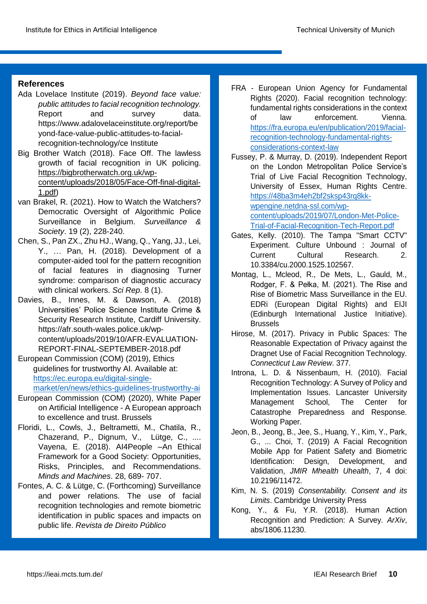## **References**

- Ada Lovelace Institute (2019). *Beyond face value: public attitudes to facial recognition technology.* Report and survey data. https://www.adalovelaceinstitute.org/report/be yond-face-value-public-attitudes-to-facialrecognition-technology/ce Institute
- Big Brother Watch (2018). Face Off. The lawless growth of facial recognition in UK policing. [https://bigbrotherwatch.org.uk/wp](https://bigbrotherwatch.org.uk/wp-content/uploads/2018/05/Face-Off-final-digital-1.pdf)[content/uploads/2018/05/Face-Off-final-digital-](https://bigbrotherwatch.org.uk/wp-content/uploads/2018/05/Face-Off-final-digital-1.pdf)[1.pdf\)](https://bigbrotherwatch.org.uk/wp-content/uploads/2018/05/Face-Off-final-digital-1.pdf)
- van Brakel, R. (2021). How to Watch the Watchers? Democratic Oversight of Algorithmic Police Surveillance in Belgium. *Surveillance & Society*. 19 (2), 228-240.
- Chen, S., Pan ZX., Zhu HJ., Wang, Q., Yang, JJ., Lei, Y., … Pan, H. (2018). Development of a computer-aided tool for the pattern recognition of facial features in diagnosing Turner syndrome: comparison of diagnostic accuracy with clinical workers. *Sci Rep*. 8 (1).
- Davies, B., Innes, M. & Dawson, A. (2018) Universities' Police Science Institute Crime & Security Research Institute, Cardiff University. https://afr.south-wales.police.uk/wpcontent/uploads/2019/10/AFR-EVALUATION-REPORT-FINAL-SEPTEMBER-2018.pdf
- European Commission (COM) (2019), Ethics guidelines for trustworthy AI. Available at: [https://ec.europa.eu/digital-single](https://ec.europa.eu/digital-single-market/en/news/ethics-guidelines-trustworthy-ai)[market/en/news/ethics-guidelines-trustworthy-ai](https://ec.europa.eu/digital-single-market/en/news/ethics-guidelines-trustworthy-ai)

- European Commission (COM) (2020), White Paper on Artificial Intelligence - A European approach to excellence and trust. Brussels
- Floridi, L., Cowls, J., Beltrametti, M., Chatila, R., Chazerand, P., Dignum, V., Lütge, C., .... Vayena, E. (2018). AI4People –An Ethical Framework for a Good Society: Opportunities, Risks, Principles, and Recommendations. *Minds and Machines*. 28, 689- 707.
- Fontes, A. C. & Lütge, C. (Forthcoming) Surveillance and power relations. The use of facial recognition technologies and remote biometric identification in public spaces and impacts on public life. *Revista de Direito Público*

FRA - European Union Agency for Fundamental Rights (2020). Facial recognition technology: fundamental rights considerations in the context of law enforcement. Vienna. https://fra.europa.eu/en/publication/2019/facialrecognition-technology-fundamental-rightsconsiderations-context-law

Fussey, P. & Murray, D. (2019). Independent Report on the London Metropolitan Police Service's Trial of Live Facial Recognition Technology, University of Essex, Human Rights Centre. https://48ba3m4eh2bf2sksp43rq8kkwpengine.netdna-ssl.com/wpcontent/uploads/2019/07/London-Met-Police-Trial-of-Facial-Recognition-Tech-Report.pdf

- Gates, Kelly. (2010). The Tampa "Smart CCTV" Experiment. Culture Unbound : Journal of Current Cultural Research. 2. 10.3384/cu.2000.1525.102567.
- Montag, L., Mcleod, R., De Mets, L., Gauld, M., Rodger, F. & Pełka, M. (2021). The Rise and Rise of Biometric Mass Surveillance in the EU. EDRi (European Digital Rights) and EIJI (Edinburgh International Justice Initiative). **Brussels**
- Hirose, M. (2017). Privacy in Public Spaces: The Reasonable Expectation of Privacy against the Dragnet Use of Facial Recognition Technology. *Connecticut Law Review*. 377.
- Introna, L. D. & Nissenbaum, H. (2010). Facial Recognition Technology: A Survey of Policy and Implementation Issues. Lancaster University Management School, The Center for Catastrophe Preparedness and Response. Working Paper.
- Jeon, B., Jeong, B., Jee, S., Huang, Y., Kim, Y., Park, G., ... Choi, T. (2019) A Facial Recognition Mobile App for Patient Safety and Biometric Identification: Design, Development, and Validation, *JMIR Mhealth Uhealth*, 7, 4 doi: 10.2196/11472.
- Kim, N. S. (2019) *Consentability. Consent and its Limits*. Cambridge University Press
- Kong, Y., & Fu, Y.R. (2018). Human Action Recognition and Prediction: A Survey. *ArXiv*, abs/1806.11230.